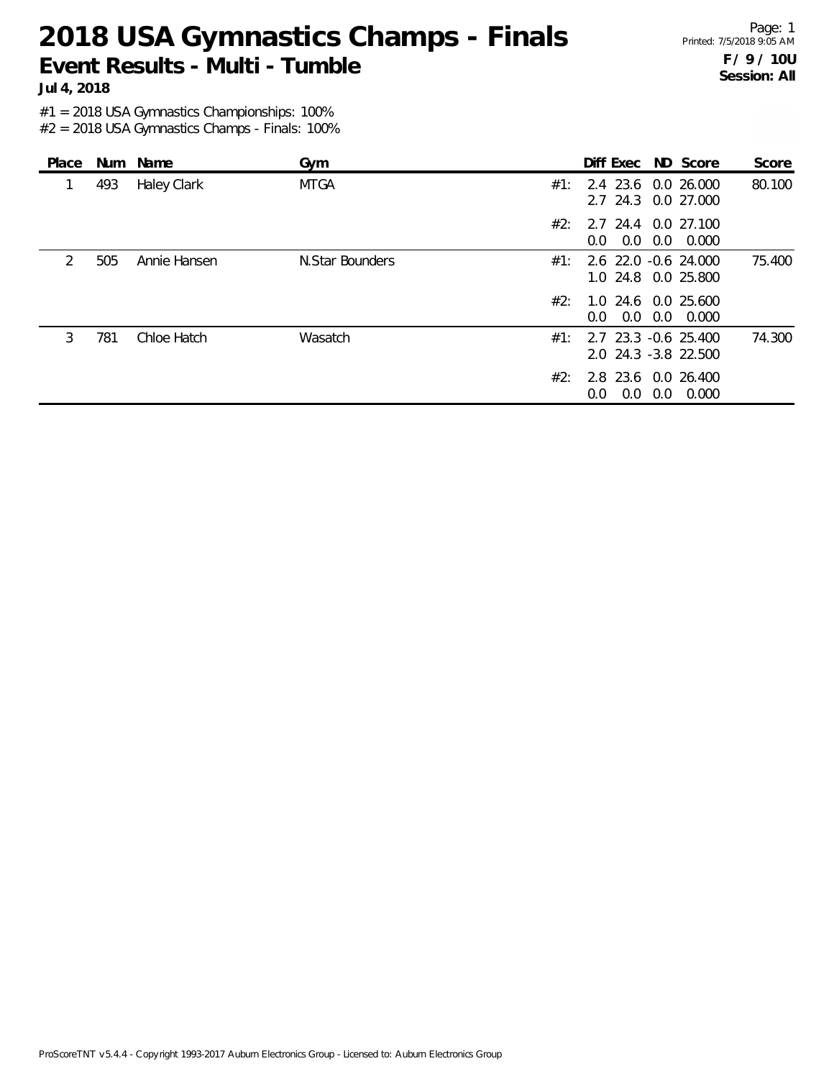Page: 1 Printed: 7/5/2018 9:05 AM **F / 9 / 10U Session: All**

**Jul 4, 2018**

#1 = 2018 USA Gymnastics Championships: 100%

| Place         |     | Num Name     | Gym             |     | Diff Exec ND Score                           |     |       | Score  |
|---------------|-----|--------------|-----------------|-----|----------------------------------------------|-----|-------|--------|
|               | 493 | Haley Clark  | <b>MTGA</b>     | #1: | 2.4 23.6 0.0 26.000<br>2.7 24.3 0.0 27.000   |     |       | 80.100 |
|               |     |              |                 | #2: | 2.7 24.4 0.0 27.100<br>$0.0 \quad 0.0$       | 0.0 | 0.000 |        |
| $\mathcal{P}$ | 505 | Annie Hansen | N.Star Bounders | #1: | 2.6 22.0 -0.6 24.000<br>1.0 24.8 0.0 25.800  |     |       | 75.400 |
|               |     |              |                 | #2: | 1.0 24.6 0.0 25.600<br>$0.0 \quad 0.0$       | 0.0 | 0.000 |        |
| 3             | 781 | Chloe Hatch  | Wasatch         | #1: | 2.7 23.3 -0.6 25.400<br>2.0 24.3 -3.8 22.500 |     |       | 74.300 |
|               |     |              |                 | #2: | 2.8 23.6 0.0 26.400<br>0.0<br>0.0            | 0.0 | 0.000 |        |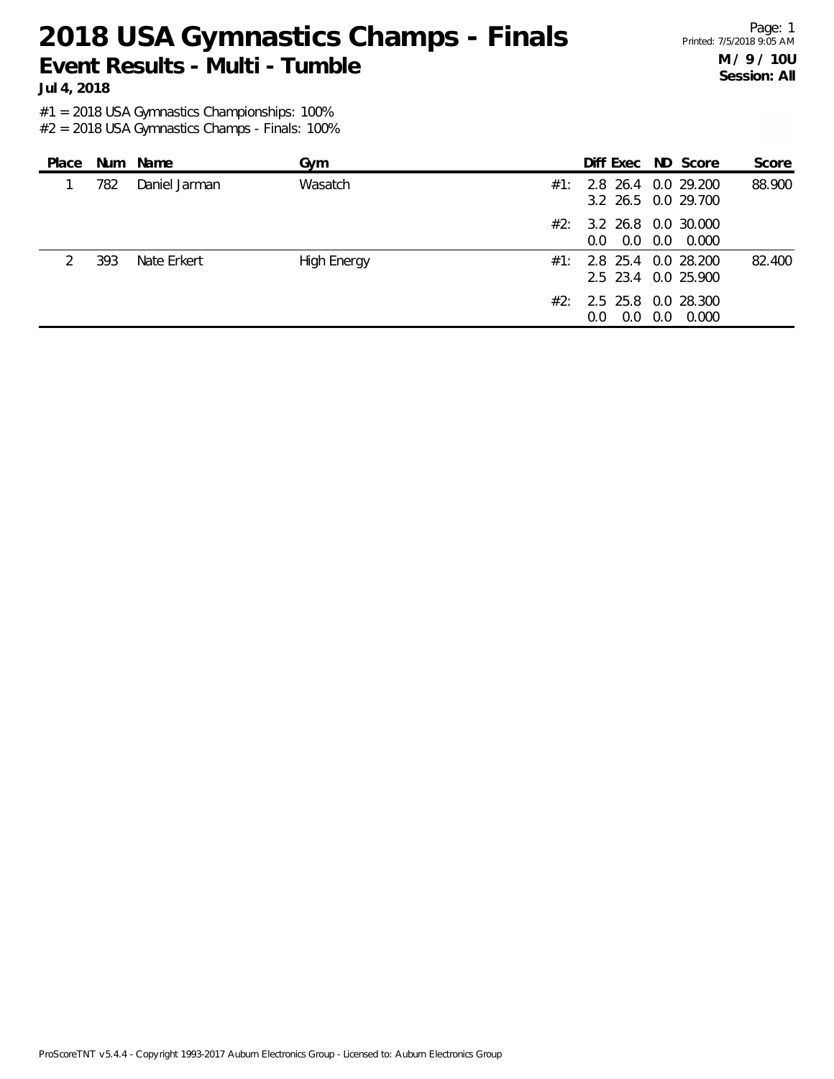Page: 1 Printed: 7/5/2018 9:05 AM **M / 9 / 10U Session: All**

**Jul 4, 2018**

#1 = 2018 USA Gymnastics Championships: 100%

| Place |     | Num Name      | Gym                |     | Diff Exec ND Score                                |     |       | Score  |
|-------|-----|---------------|--------------------|-----|---------------------------------------------------|-----|-------|--------|
|       | 782 | Daniel Jarman | Wasatch            | #1: | 2.8 26.4 0.0 29.200<br>3.2 26.5 0.0 29.700        |     |       | 88.900 |
|       |     |               |                    | #2: | 3.2 26.8 0.0 30.000<br>$0.0 \quad 0.0 \quad 0.0$  |     | 0.000 |        |
|       | 393 | Nate Erkert   | <b>High Energy</b> | #1: | 2.8 25.4 0.0 28.200<br>2.5 23.4 0.0 25.900        |     |       | 82.400 |
|       |     |               |                    |     | $#2: 2.5$ 25.8 0.0 28.300<br>0.0<br>$0.0^{\circ}$ | 0.0 | 0.000 |        |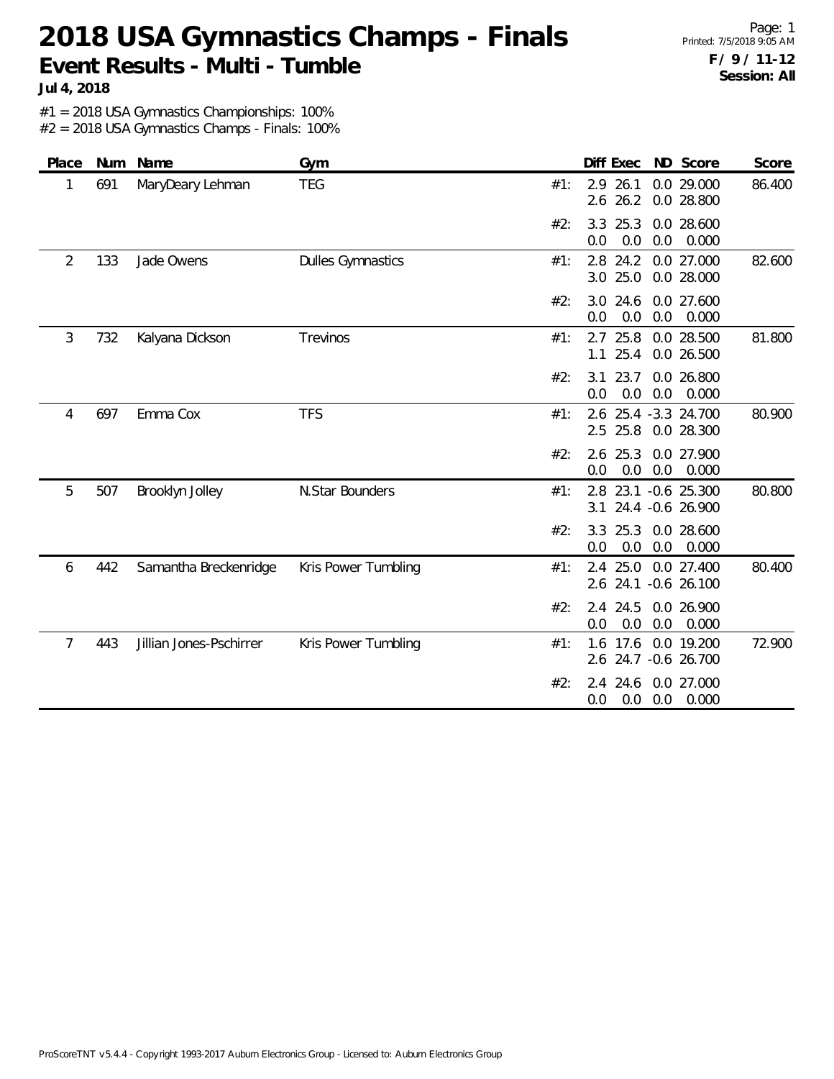Page: 1 Printed: 7/5/2018 9:05 AM **F / 9 / 11-12 Session: All**

**Jul 4, 2018**

#1 = 2018 USA Gymnastics Championships: 100%

| Place          | Num | Name                    | Gym                      |     | Diff Exec<br>ND Score                                   | Score  |
|----------------|-----|-------------------------|--------------------------|-----|---------------------------------------------------------|--------|
| 1              | 691 | MaryDeary Lehman        | <b>TEG</b>               | #1: | 2.9 26.1<br>0.0 29.000<br>$2.6$ 26.2<br>0.0 28.800      | 86.400 |
|                |     |                         |                          | #2: | 3.3 25.3<br>0.0 28.600<br>0.0<br>0.0<br>0.0<br>0.000    |        |
| $\overline{2}$ | 133 | Jade Owens              | <b>Dulles Gymnastics</b> | #1: | 2.8 24.2<br>0.0 27.000<br>3.0 25.0<br>0.0 28.000        | 82.600 |
|                |     |                         |                          | #2: | 3.0 24.6<br>0.0 27.600<br>0.0<br>0.0<br>0.0<br>0.000    |        |
| 3              | 732 | Kalyana Dickson         | Trevinos                 | #1: | 2.7 25.8<br>0.0 28.500<br>25.4<br>0.0 26.500<br>1.1     | 81.800 |
|                |     |                         |                          | #2: | 3.1<br>23.7<br>0.0 26.800<br>0.0<br>0.0<br>0.0<br>0.000 |        |
| 4              | 697 | Emma Cox                | <b>TFS</b>               | #1: | 2.6 25.4 -3.3 24.700<br>$2.5$ 25.8<br>0.0 28.300        | 80.900 |
|                |     |                         |                          | #2: | 2.6<br>25.3<br>0.0 27.900<br>0.0<br>0.0<br>0.000<br>0.0 |        |
| 5              | 507 | Brooklyn Jolley         | N.Star Bounders          | #1: | 23.1 -0.6 25.300<br>2.8<br>3.1<br>24.4 -0.6 26.900      | 80.800 |
|                |     |                         |                          | #2: | 0.0 28.600<br>3.3<br>25.3<br>0.0<br>0.0<br>0.0<br>0.000 |        |
| 6              | 442 | Samantha Breckenridge   | Kris Power Tumbling      | #1: | 25.0<br>0.0 27.400<br>2.4<br>2.6 24.1 -0.6 26.100       | 80.400 |
|                |     |                         |                          | #2: | 2.4 24.5<br>0.0 26.900<br>0.0<br>0.0<br>0.0<br>0.000    |        |
| 7              | 443 | Jillian Jones-Pschirrer | Kris Power Tumbling      | #1: | 17.6<br>0.0 19.200<br>1.6<br>24.7 -0.6 26.700<br>2.6    | 72.900 |
|                |     |                         |                          | #2: | 2.4 24.6<br>0.0 27.000<br>0.0<br>0.000<br>0.0<br>0.0    |        |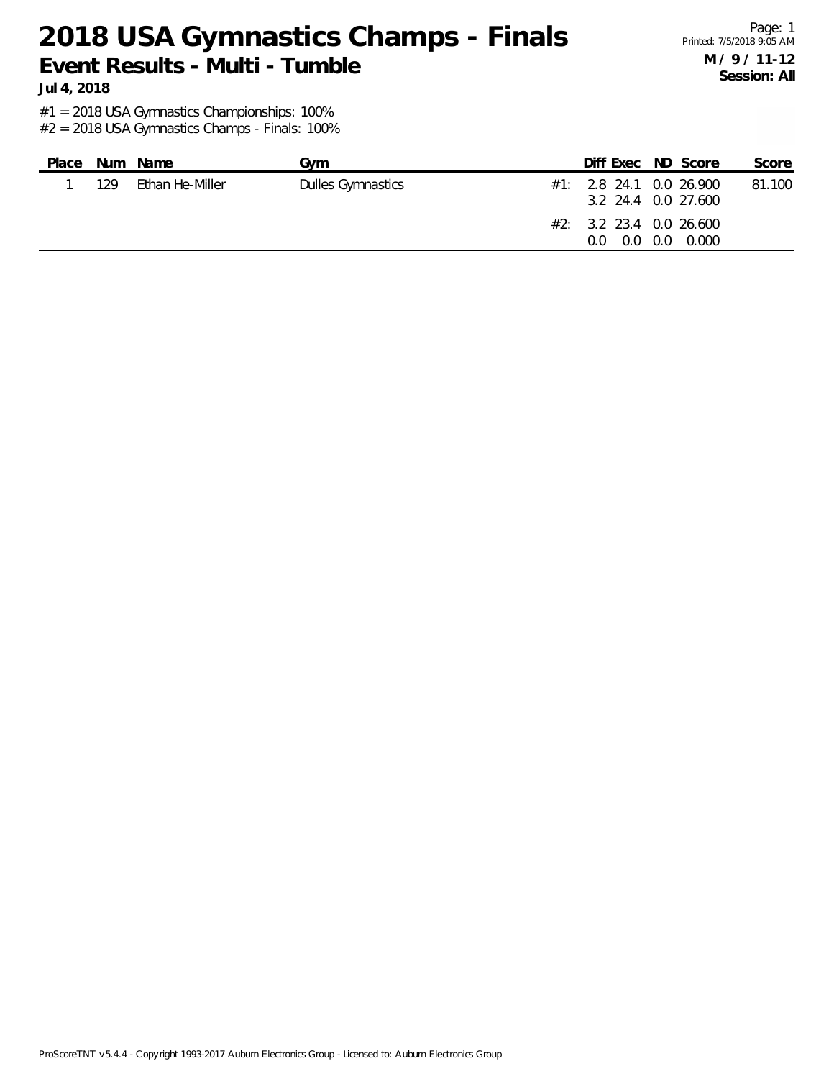Page: 1 Printed: 7/5/2018 9:05 AM **M / 9 / 11-12 Session: All**

**Jul 4, 2018**

#1 = 2018 USA Gymnastics Championships: 100%

| Place |     | Num Name        | Gvm                      | Diff Exec ND Score                                                               |               | Score  |
|-------|-----|-----------------|--------------------------|----------------------------------------------------------------------------------|---------------|--------|
|       | 129 | Ethan He-Miller | <b>Dulles Gymnastics</b> | #1: 2.8 24.1 0.0 26.900<br>3.2 24.4 0.0 27.600<br>#2: 3.2 23.4 0.0 26.600<br>0.0 | 0.0 0.0 0.000 | 81.100 |
|       |     |                 |                          |                                                                                  |               |        |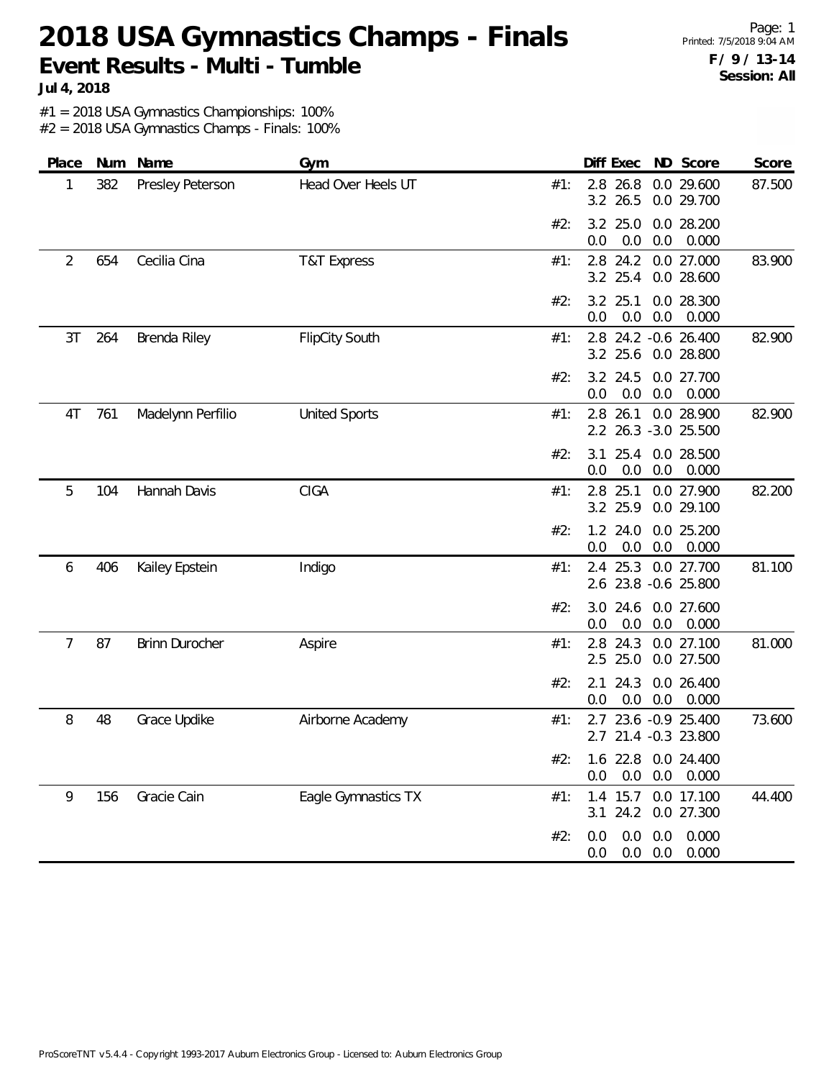Page: 1 Printed: 7/5/2018 9:04 AM **F / 9 / 13-14 Session: All**

**Jul 4, 2018**

#1 = 2018 USA Gymnastics Championships: 100%

| Place          | Num | Name                  | Gym                    |     | Diff Exec<br>ND Score                                    | Score  |
|----------------|-----|-----------------------|------------------------|-----|----------------------------------------------------------|--------|
| 1              | 382 | Presley Peterson      | Head Over Heels UT     | #1: | 2.8<br>26.8<br>0.0 29.600<br>3.2 26.5<br>0.0 29.700      | 87.500 |
|                |     |                       |                        | #2: | 3.2 25.0<br>0.0 28.200<br>0.0<br>0.0<br>0.0<br>0.000     |        |
| $\overline{2}$ | 654 | Cecilia Cina          | <b>T&amp;T Express</b> | #1: | 2.8 24.2<br>0.0 27.000<br>3.2 25.4<br>0.0 28.600         | 83.900 |
|                |     |                       |                        | #2: | 3.2 25.1<br>0.0 28.300<br>0.0<br>0.0<br>0.0<br>0.000     |        |
| 3T             | 264 | Brenda Riley          | <b>FlipCity South</b>  | #1: | 2.8 24.2 -0.6 26.400<br>$3.2$ 25.6<br>0.0 28.800         | 82.900 |
|                |     |                       |                        | #2: | 3.2 24.5<br>0.0 27.700<br>0.0<br>0.0<br>0.0<br>0.000     |        |
| 4T             | 761 | Madelynn Perfilio     | <b>United Sports</b>   | #1: | 2.8 26.1<br>0.0 28.900<br>2.2 26.3 -3.0 25.500           | 82.900 |
|                |     |                       |                        | #2: | 25.4<br>0.0 28.500<br>3.1<br>0.0<br>0.0<br>0.0<br>0.000  |        |
| 5              | 104 | Hannah Davis          | <b>CIGA</b>            | #1: | 2.8 25.1<br>0.0 27.900<br>3.2 25.9<br>0.0 29.100         | 82.200 |
|                |     |                       |                        | #2: | 0.0 25.200<br>1.2 24.0<br>0.0<br>0.0<br>0.0<br>0.000     |        |
| 6              | 406 | Kailey Epstein        | Indigo                 | #1: | 25.3<br>0.0 27.700<br>2.4<br>2.6 23.8 -0.6 25.800        | 81.100 |
|                |     |                       |                        | #2: | 0.0 27.600<br>3.0 24.6<br>0.000<br>0.0<br>0.0<br>0.0     |        |
| $\overline{7}$ | 87  | <b>Brinn Durocher</b> | Aspire                 | #1: | 2.8<br>24.3<br>0.0 27.100<br>2.5<br>25.0<br>0.0 27.500   | 81.000 |
|                |     |                       |                        | #2: | 24.3<br>0.0 26.400<br>2.1<br>0.0<br>0.000<br>0.0<br>0.0  |        |
| 8              | 48  | Grace Updike          | Airborne Academy       | #1: | 2.7 23.6 -0.9 25.400<br>2.7 21.4 -0.3 23.800             | 73.600 |
|                |     |                       |                        | #2: | 1.6 22.8 0.0 24.400<br>0.0<br>0.0<br>0.0<br>0.000        |        |
| 9              | 156 | Gracie Cain           | Eagle Gymnastics TX    | #1: | 15.7<br>0.0 17.100<br>1.4<br>$3.1$ 24.2<br>0.0 27.300    | 44.400 |
|                |     |                       |                        | #2: | 0.0<br>0.0<br>0.000<br>0.0<br>$0.0\ 0.0$<br>0.000<br>0.0 |        |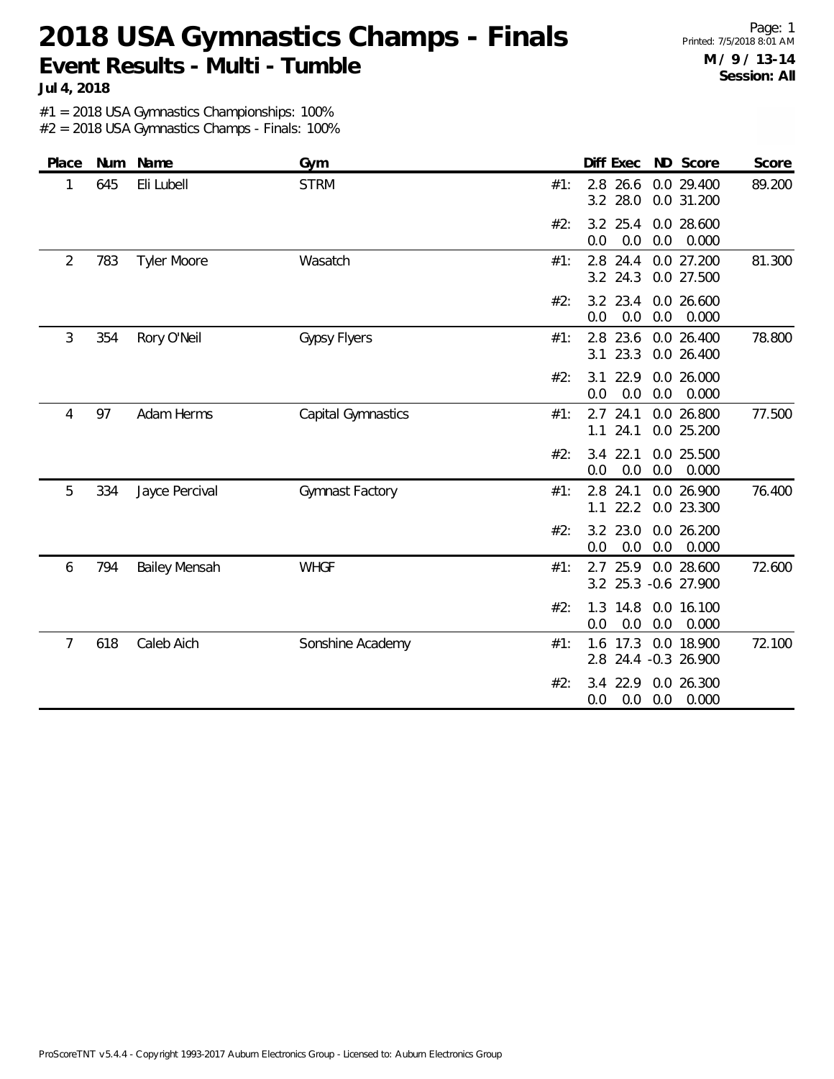Page: 1 Printed: 7/5/2018 8:01 AM **M / 9 / 13-14 Session: All**

**Jul 4, 2018**

#1 = 2018 USA Gymnastics Championships: 100%

| Place          | Num | Name                 | Gym                 |     | Diff Exec                     | ND Score                       | Score  |
|----------------|-----|----------------------|---------------------|-----|-------------------------------|--------------------------------|--------|
| 1              | 645 | Eli Lubell           | <b>STRM</b>         | #1: | 26.6<br>2.8<br>3.2 28.0       | 0.0 29.400<br>0.0 31.200       | 89.200 |
|                |     |                      |                     | #2: | $3.2$ 25.4<br>0.0<br>0.0      | 0.0 28.600<br>0.0<br>0.000     |        |
| $\overline{2}$ | 783 | <b>Tyler Moore</b>   | Wasatch             | #1: | 2.8 24.4<br>3.2 24.3          | 0.0 27.200<br>0.0 27.500       | 81.300 |
|                |     |                      |                     | #2: | 3.2 23.4<br>0.0<br>0.0        | 0.0 26.600<br>0.0<br>0.000     |        |
| 3              | 354 | Rory O'Neil          | <b>Gypsy Flyers</b> | #1: | 2.8 23.6<br>23.3<br>3.1       | 0.0 26.400<br>0.0 26.400       | 78.800 |
|                |     |                      |                     | #2: | 3.1<br>22.9<br>0.0<br>0.0     | 0.0 26.000<br>0.000<br>0.0     |        |
| 4              | 97  | Adam Herms           | Capital Gymnastics  | #1: | $2.7$ 24.1<br>24.1<br>1.1     | 0.0 26.800<br>0.0 25.200       | 77.500 |
|                |     |                      |                     | #2: | 22.1<br>3.4<br>$0.0\,$<br>0.0 | 0.0 25.500<br>0.0<br>0.000     |        |
| 5              | 334 | Jayce Percival       | Gymnast Factory     | #1: | 2.8<br>24.1<br>22.2<br>1.1    | 0.0 26.900<br>0.0 23.300       | 76.400 |
|                |     |                      |                     | #2: | 3.2 23.0<br>0.0<br>0.0        | 0.0 26.200<br>0.0<br>0.000     |        |
| 6              | 794 | <b>Bailey Mensah</b> | <b>WHGF</b>         | #1: | 25.9<br>2.7<br>3.2            | 0.0 28.600<br>25.3 -0.6 27.900 | 72.600 |
|                |     |                      |                     | #2: | 1.3<br>14.8<br>0.0<br>0.0     | 0.0 16.100<br>0.0<br>0.000     |        |
| $\overline{7}$ | 618 | Caleb Aich           | Sonshine Academy    | #1: | 17.3<br>1.6<br>2.8            | 0.0 18.900<br>24.4 -0.3 26.900 | 72.100 |
|                |     |                      |                     | #2: | 3.4<br>22.9<br>0.0<br>0.0     | 0.0 26.300<br>0.0<br>0.000     |        |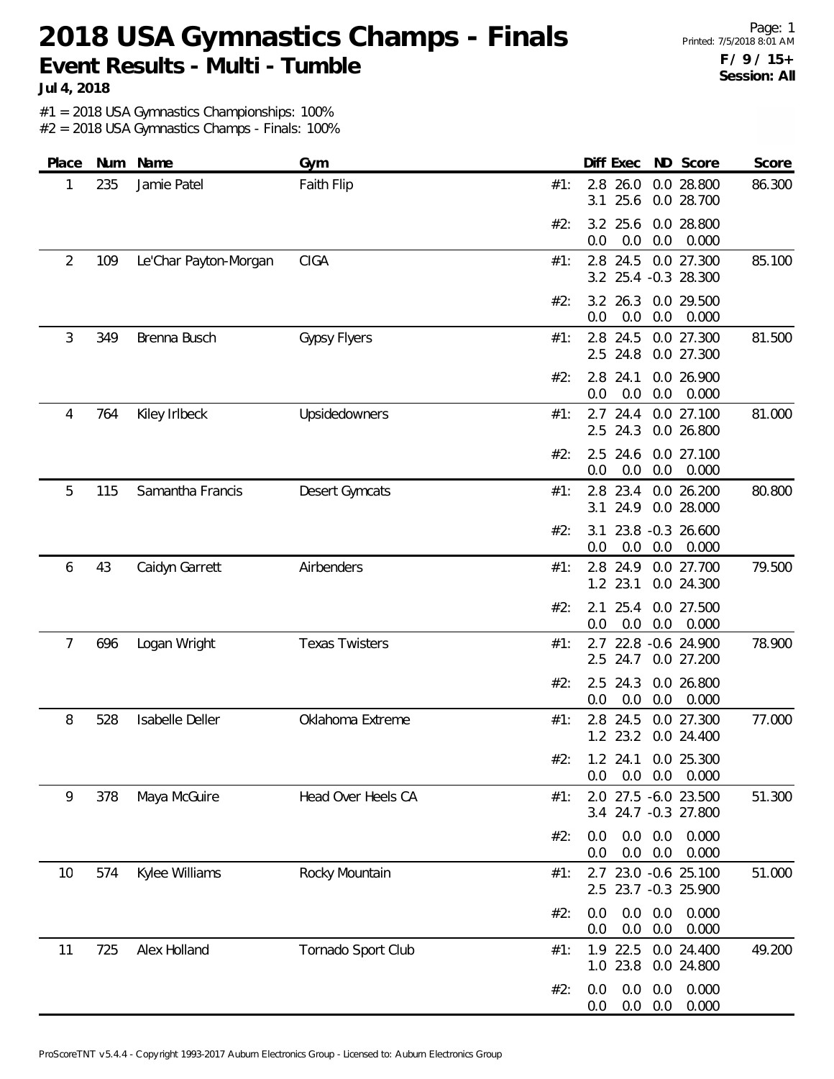Page: 1 Printed: 7/5/2018 8:01 AM **F / 9 / 15+ Session: All**

**Jul 4, 2018**

#1 = 2018 USA Gymnastics Championships: 100%

| Place | Num | Name                  | Gym                   | Diff Exec                                              | Score<br>ND Score                  |
|-------|-----|-----------------------|-----------------------|--------------------------------------------------------|------------------------------------|
| 1     | 235 | Jamie Patel           | Faith Flip            | 2.8<br>26.0<br>#1:<br>25.6<br>3.1                      | 0.0 28.800<br>86.300<br>0.0 28.700 |
|       |     |                       |                       | 3.2 25.6<br>#2:<br>0.0<br>0.0<br>0.0                   | 0.0 28.800<br>0.000                |
| 2     | 109 | Le'Char Payton-Morgan | <b>CIGA</b>           | 2.8 24.5<br>#1:<br>3.2 25.4 -0.3 28.300                | 0.0 27.300<br>85.100               |
|       |     |                       |                       | 3.2 26.3<br>#2:<br>0.0<br>0.0<br>0.0                   | 0.0 29.500<br>0.000                |
| 3     | 349 | Brenna Busch          | <b>Gypsy Flyers</b>   | 2.8 24.5<br>#1:<br>2.5<br>24.8                         | 81.500<br>0.0 27.300<br>0.0 27.300 |
|       |     |                       |                       | 2.8<br>24.1<br>#2:<br>0.0<br>0.0<br>0.0                | 0.0 26.900<br>0.000                |
| 4     | 764 | Kiley Irlbeck         | Upsidedowners         | $2.7$ 24.4<br>#1:<br>2.5 24.3                          | 81.000<br>0.0 27.100<br>0.0 26.800 |
|       |     |                       |                       | #2:<br>2.5<br>24.6<br>0.0<br>0.0<br>0.0                | 0.0 27.100<br>0.000                |
| 5     | 115 | Samantha Francis      | Desert Gymcats        | 23.4<br>2.8<br>#1:<br>24.9<br>3.1                      | 0.0 26.200<br>80.800<br>0.0 28.000 |
|       |     |                       |                       | 23.8 -0.3 26.600<br>#2:<br>3.1<br>0.0<br>0.0<br>0.0    | 0.000                              |
| 6     | 43  | Caidyn Garrett        | Airbenders            | 2.8 24.9<br>#1:<br>1.2 23.1                            | 79.500<br>0.0 27.700<br>0.0 24.300 |
|       |     |                       |                       | 25.4<br>#2:<br>2.1<br>0.0<br>0.0<br>0.0                | 0.0 27.500<br>0.000                |
| 7     | 696 | Logan Wright          | <b>Texas Twisters</b> | 2.7 22.8 -0.6 24.900<br>#1:<br>2.5 24.7                | 78.900<br>0.0 27.200               |
|       |     |                       |                       | 2.5<br>24.3<br>#2:<br>0.0<br>0.0<br>0.0                | 0.0 26.800<br>0.000                |
| 8     | 528 | Isabelle Deller       | Oklahoma Extreme      | 2.8 24.5<br>#1:<br>1.2 23.2                            | 0.0 27.300<br>77.000<br>0.0 24.400 |
|       |     |                       |                       | 1.2 24.1 0.0 25.300<br>#2∙<br>0.0<br>0.0<br>0.0        | 0.000                              |
| 9     | 378 | Maya McGuire          | Head Over Heels CA    | 2.0 27.5 -6.0 23.500<br>#1:<br>3.4 24.7 -0.3 27.800    | 51.300                             |
|       |     |                       |                       | 0.0<br>0.0<br>#2:<br>0.0<br>$0.0\quad 0.0$<br>0.0      | 0.000<br>0.000                     |
| 10    | 574 | Kylee Williams        | Rocky Mountain        | 23.0 -0.6 25.100<br>#1:<br>2.7<br>2.5 23.7 -0.3 25.900 | 51.000                             |
|       |     |                       |                       | 0.0<br>0.0<br>0.0<br>#2:<br>0.0<br>0.0<br>0.0          | 0.000<br>0.000                     |
| 11    | 725 | Alex Holland          | Tornado Sport Club    | 1.9 22.5 0.0 24.400<br>#1:<br>1.0 23.8                 | 49.200<br>0.0 24.800               |
|       |     |                       |                       | 0.0<br>0.0<br>0.0<br>#2:<br>0.0<br>0.0<br>0.0          | 0.000<br>0.000                     |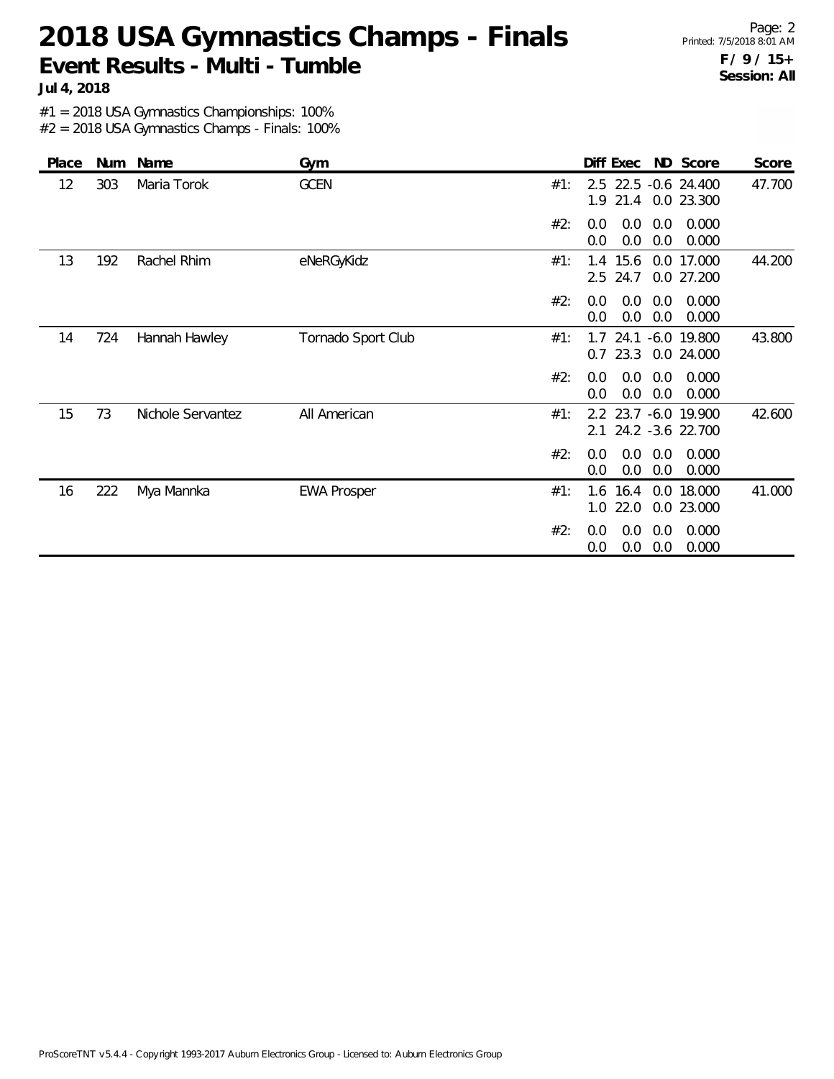Page: 2 Printed: 7/5/2018 8:01 AM **F / 9 / 15+ Session: All**

**Jul 4, 2018**

#1 = 2018 USA Gymnastics Championships: 100%

| Place | Num | Name              | Gym                | Diff Exec ND Score<br>Score                                                |
|-------|-----|-------------------|--------------------|----------------------------------------------------------------------------|
| 12    | 303 | Maria Torok       | <b>GCEN</b>        | 2.5 22.5 -0.6 24.400<br>47.700<br>#1:<br>1.9 21.4 0.0 23.300               |
|       |     |                   |                    | 0.0<br>0.0<br>0.000<br>#2:<br>0.0<br>0.0<br>0.0<br>0.0<br>0.000            |
| 13    | 192 | Rachel Rhim       | eNeRGyKidz         | 1.4 15.6<br>0.0 17.000<br>44.200<br>#1:<br>2.5 24.7<br>0.0 27.200          |
|       |     |                   |                    | #2:<br>0.0<br>0.0<br>0.000<br>0.0<br>0.0<br>0.0<br>0.0<br>0.000            |
| 14    | 724 | Hannah Hawley     | Tornado Sport Club | 24.1<br>$-6.0$ 19.800<br>43.800<br>#1:<br>1.7<br>$0.7$ 23.3<br>0.0 24.000  |
|       |     |                   |                    | 0.000<br>#2:<br>0.0<br>0.0<br>0.0<br>0.0<br>0.0<br>0.000<br>0.0            |
| 15    | 73  | Nichole Servantez | All American       | 2.2 23.7 -6.0 19.900<br>42.600<br>#1:<br>24.2 -3.6 22.700<br>2.1           |
|       |     |                   |                    | 0.000<br>#2:<br>0.0<br>0.0<br>0.0<br>0.0<br>0.0<br>0.0<br>0.000            |
| 16    | 222 | Mya Mannka        | <b>EWA Prosper</b> | 41.000<br>1.6<br>16.4<br>0.0 18.000<br>#1:<br>1.0<br>22.0<br>0.0<br>23.000 |
|       |     |                   |                    | #2:<br>0.0<br>0.0<br>0.0<br>0.000<br>0.0<br>0.0<br>0.0<br>0.000            |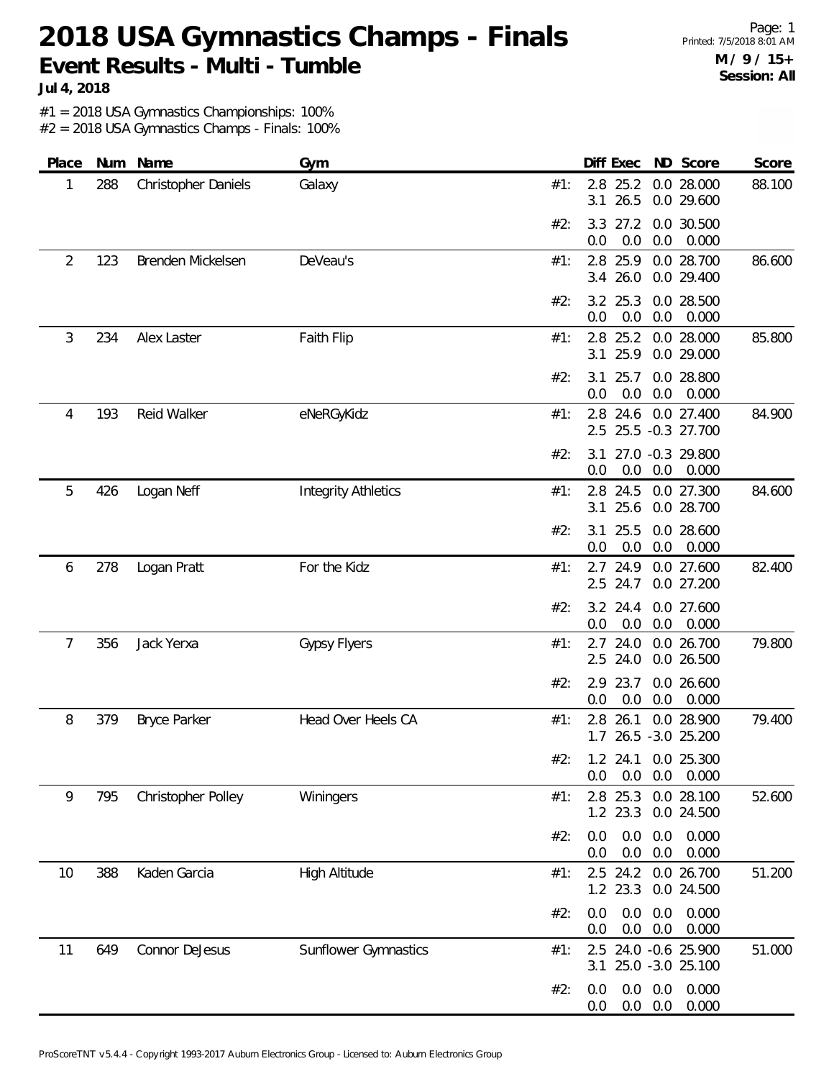Page: 1 Printed: 7/5/2018 8:01 AM **M / 9 / 15+ Session: All**

**Jul 4, 2018**

#1 = 2018 USA Gymnastics Championships: 100%

| Place | Num | Name                | Gym                         |     |            | Diff Exec              |            | ND Score                                    | Score  |
|-------|-----|---------------------|-----------------------------|-----|------------|------------------------|------------|---------------------------------------------|--------|
| 1     | 288 | Christopher Daniels | Galaxy                      | #1: | 2.8<br>3.1 | 25.2<br>26.5           |            | 0.0 28.000<br>0.0 29.600                    | 88.100 |
|       |     |                     |                             | #2: | 3.3<br>0.0 | 27.2<br>0.0            | 0.0        | 0.0 30.500<br>0.000                         |        |
| 2     | 123 | Brenden Mickelsen   | DeVeau's                    | #1: |            | 2.8 25.9<br>3.4 26.0   |            | 0.0 28.700<br>0.0 29.400                    | 86.600 |
|       |     |                     |                             | #2: | 0.0        | 3.2 25.3<br>0.0        | 0.0        | 0.0 28.500<br>0.000                         |        |
| 3     | 234 | Alex Laster         | Faith Flip                  | #1: | 2.8<br>3.1 | 25.2<br>25.9           |            | 0.0 28.000<br>0.0 29.000                    | 85.800 |
|       |     |                     |                             | #2: | 3.1<br>0.0 | 25.7<br>0.0            | 0.0        | 0.0 28.800<br>0.000                         |        |
| 4     | 193 | Reid Walker         | eNeRGyKidz                  | #1: |            |                        |            | 2.8 24.6 0.0 27.400<br>2.5 25.5 -0.3 27.700 | 84.900 |
|       |     |                     |                             | #2: | 3.1<br>0.0 | 0.0                    | 0.0        | 27.0 -0.3 29.800<br>0.000                   |        |
| 5     | 426 | Logan Neff          | <b>Integrity Athletics</b>  | #1: | 2.8<br>3.1 | 24.5<br>25.6           |            | 0.0 27.300<br>0.0 28.700                    | 84.600 |
|       |     |                     |                             | #2: | 3.1<br>0.0 | 25.5<br>0.0            | 0.0        | 0.0 28.600<br>0.000                         |        |
| 6     | 278 | Logan Pratt         | For the Kidz                | #1: | 2.5        | 2.7 24.9<br>24.7       |            | 0.0 27.600<br>0.0 27.200                    | 82.400 |
|       |     |                     |                             | #2: | 0.0        | $3.2$ 24.4<br>0.0      | 0.0        | 0.0 27.600<br>0.000                         |        |
| 7     | 356 | Jack Yerxa          | <b>Gypsy Flyers</b>         | #1: |            | $2.7$ 24.0<br>2.5 24.0 |            | 0.0 26.700<br>0.0 26.500                    | 79.800 |
|       |     |                     |                             | #2: | 2.9<br>0.0 | 23.7<br>0.0            | 0.0        | 0.0 26.600<br>0.000                         |        |
| 8     | 379 | <b>Bryce Parker</b> | Head Over Heels CA          | #1: | 2.8        | 26.1                   |            | 0.0 28.900<br>1.7 26.5 -3.0 25.200          | 79.400 |
|       |     |                     |                             |     | 0.0        | 0.0                    | 0.0        | #2: 1.2 24.1 0.0 25.300<br>0.000            |        |
| 9     | 795 | Christopher Polley  | Winingers                   | #1: |            | 2.8 25.3<br>1.2 23.3   |            | 0.0 28.100<br>0.0 24.500                    | 52.600 |
|       |     |                     |                             | #2: | 0.0<br>0.0 | 0.0<br>0.0             | 0.0<br>0.0 | 0.000<br>0.000                              |        |
| 10    | 388 | Kaden Garcia        | <b>High Altitude</b>        | #1: |            | $2.5$ 24.2<br>1.2 23.3 |            | 0.0 26.700<br>0.0 24.500                    | 51.200 |
|       |     |                     |                             | #2: | 0.0<br>0.0 | 0.0<br>0.0             | 0.0<br>0.0 | 0.000<br>0.000                              |        |
| 11    | 649 | Connor DeJesus      | <b>Sunflower Gymnastics</b> | #1: | 3.1        |                        |            | 2.5 24.0 -0.6 25.900<br>25.0 -3.0 25.100    | 51.000 |
|       |     |                     |                             | #2: | 0.0<br>0.0 | 0.0<br>0.0             | 0.0<br>0.0 | 0.000<br>0.000                              |        |